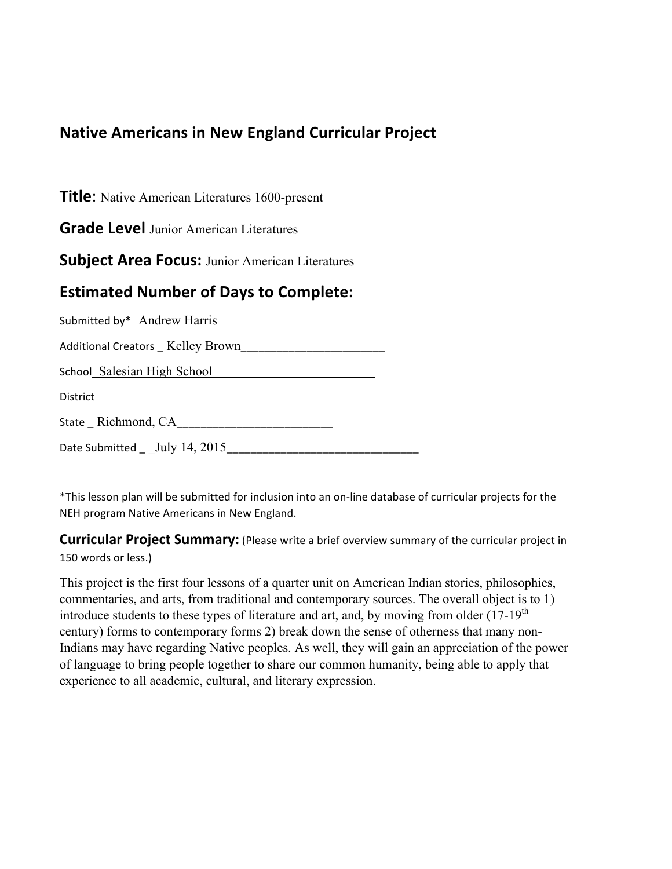## **Native Americans in New England Curricular Project**

**Title**: Native American Literatures 1600-present

**Grade Level** Junior American Literatures

**Subject Area Focus: Junior American Literatures** 

### **Estimated Number of Days to Complete:**

| Submitted by* Andrew Harris       |  |
|-----------------------------------|--|
|                                   |  |
| School Salesian High School       |  |
| District ________________________ |  |
| State Richmond, CA                |  |
| Date Submitted _ _July 14, 2015   |  |

\*This lesson plan will be submitted for inclusion into an on-line database of curricular projects for the NEH program Native Americans in New England.

**Curricular Project Summary:** (Please write a brief overview summary of the curricular project in 150 words or less.)

This project is the first four lessons of a quarter unit on American Indian stories, philosophies, commentaries, and arts, from traditional and contemporary sources. The overall object is to 1) introduce students to these types of literature and art, and, by moving from older  $(17-19<sup>th</sup>)$ century) forms to contemporary forms 2) break down the sense of otherness that many non-Indians may have regarding Native peoples. As well, they will gain an appreciation of the power of language to bring people together to share our common humanity, being able to apply that experience to all academic, cultural, and literary expression.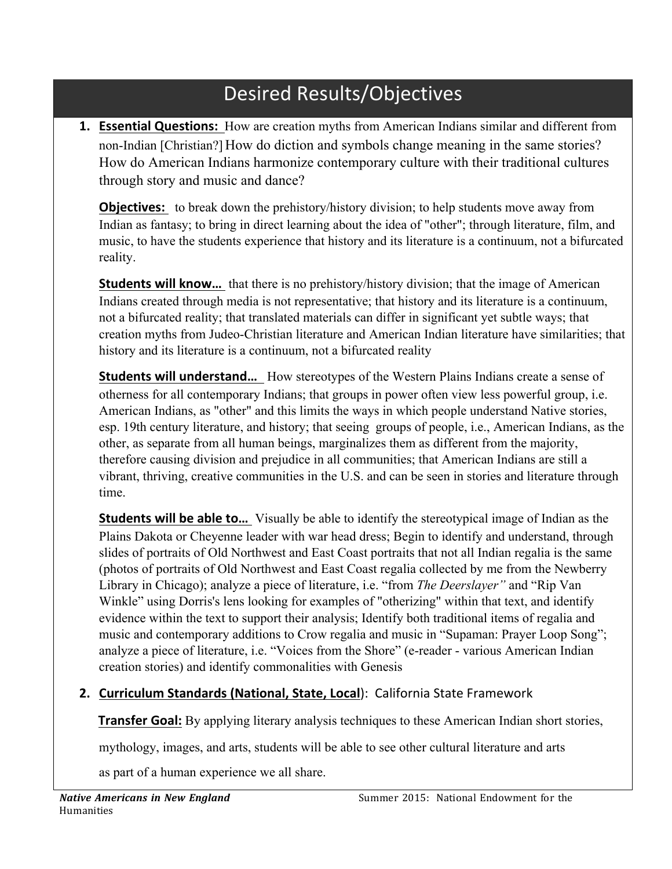## Desired Results/Objectives

**1. Essential Questions:** How are creation myths from American Indians similar and different from non-Indian [Christian?] How do diction and symbols change meaning in the same stories? How do American Indians harmonize contemporary culture with their traditional cultures through story and music and dance?

**Objectives:** to break down the prehistory/history division; to help students move away from Indian as fantasy; to bring in direct learning about the idea of "other"; through literature, film, and music, to have the students experience that history and its literature is a continuum, not a bifurcated reality.

**Students will know...** that there is no prehistory/history division; that the image of American Indians created through media is not representative; that history and its literature is a continuum, not a bifurcated reality; that translated materials can differ in significant yet subtle ways; that creation myths from Judeo-Christian literature and American Indian literature have similarities; that history and its literature is a continuum, not a bifurcated reality

**Students will understand...** How stereotypes of the Western Plains Indians create a sense of otherness for all contemporary Indians; that groups in power often view less powerful group, i.e. American Indians, as "other" and this limits the ways in which people understand Native stories, esp. 19th century literature, and history; that seeing groups of people, i.e., American Indians, as the other, as separate from all human beings, marginalizes them as different from the majority, therefore causing division and prejudice in all communities; that American Indians are still a vibrant, thriving, creative communities in the U.S. and can be seen in stories and literature through time.

**Students will be able to...** Visually be able to identify the stereotypical image of Indian as the Plains Dakota or Cheyenne leader with war head dress; Begin to identify and understand, through slides of portraits of Old Northwest and East Coast portraits that not all Indian regalia is the same (photos of portraits of Old Northwest and East Coast regalia collected by me from the Newberry Library in Chicago); analyze a piece of literature, i.e. "from *The Deerslayer"* and "Rip Van Winkle" using Dorris's lens looking for examples of "otherizing" within that text, and identify evidence within the text to support their analysis; Identify both traditional items of regalia and music and contemporary additions to Crow regalia and music in "Supaman: Prayer Loop Song"; analyze a piece of literature, i.e. "Voices from the Shore" (e-reader - various American Indian creation stories) and identify commonalities with Genesis

#### **2. Curriculum Standards (National, State, Local): California State Framework**

**Transfer Goal:** By applying literary analysis techniques to these American Indian short stories,

mythology, images, and arts, students will be able to see other cultural literature and arts

as part of a human experience we all share.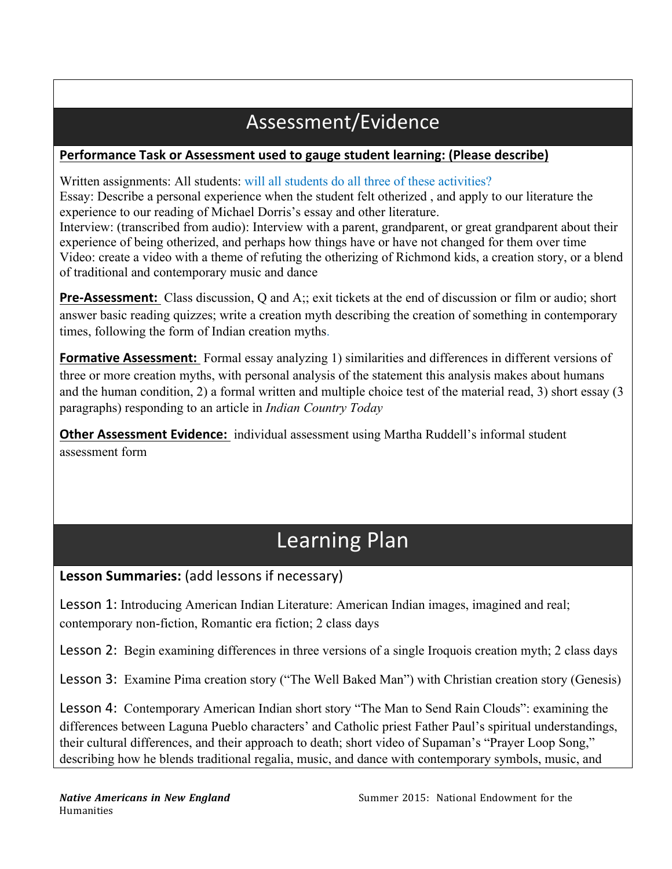## Assessment/Evidence

#### Performance Task or Assessment used to gauge student learning: (Please describe)

Written assignments: All students: will all students do all three of these activities? Essay: Describe a personal experience when the student felt otherized , and apply to our literature the experience to our reading of Michael Dorris's essay and other literature.

Interview: (transcribed from audio): Interview with a parent, grandparent, or great grandparent about their experience of being otherized, and perhaps how things have or have not changed for them over time Video: create a video with a theme of refuting the otherizing of Richmond kids, a creation story, or a blend of traditional and contemporary music and dance

**Pre-Assessment:** Class discussion, Q and A;; exit tickets at the end of discussion or film or audio; short answer basic reading quizzes; write a creation myth describing the creation of something in contemporary times, following the form of Indian creation myths.

**Formative Assessment:** Formal essay analyzing 1) similarities and differences in different versions of three or more creation myths, with personal analysis of the statement this analysis makes about humans and the human condition, 2) a formal written and multiple choice test of the material read, 3) short essay (3 paragraphs) responding to an article in *Indian Country Today*

**Other Assessment Evidence:** individual assessment using Martha Ruddell's informal student assessment form

# Learning Plan

#### Lesson Summaries: (add lessons if necessary)

Lesson 1: Introducing American Indian Literature: American Indian images, imagined and real; contemporary non-fiction, Romantic era fiction; 2 class days

Lesson 2: Begin examining differences in three versions of a single Iroquois creation myth; 2 class days

Lesson 3: Examine Pima creation story ("The Well Baked Man") with Christian creation story (Genesis)

Lesson 4: Contemporary American Indian short story "The Man to Send Rain Clouds": examining the differences between Laguna Pueblo characters' and Catholic priest Father Paul's spiritual understandings, their cultural differences, and their approach to death; short video of Supaman's "Prayer Loop Song," describing how he blends traditional regalia, music, and dance with contemporary symbols, music, and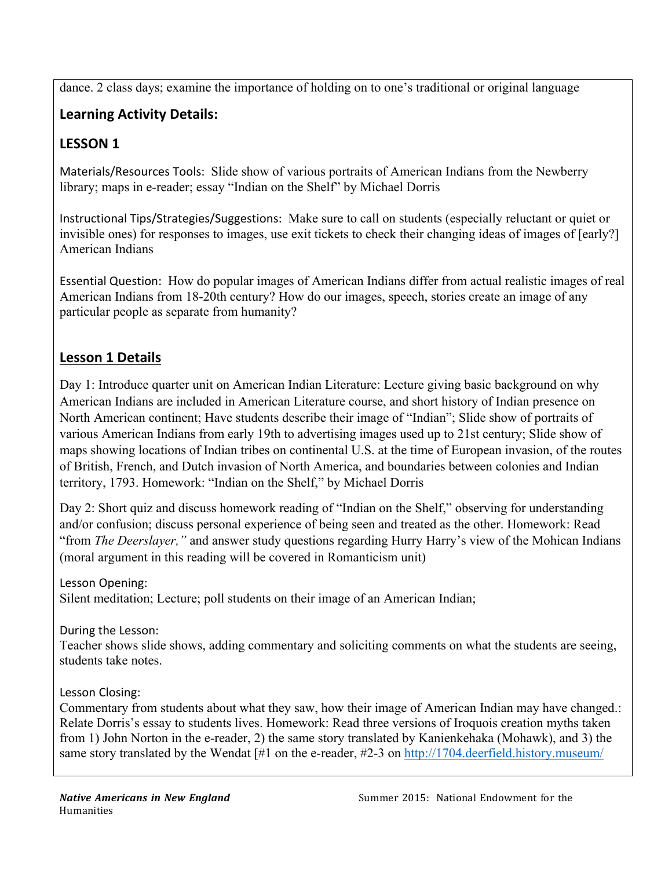dance. 2 class days; examine the importance of holding on to one's traditional or original language

## Learning Activity Details:

## LESSON 1

Materials/Resources Tools: Slide show of various portraits of American Indians from the Newberry library; maps in e-reader; essay "Indian on the Shelf" by Michael Dorris

Instructional Tips/Strategies/Suggestions: Make sure to call on students (especially reluctant or quiet or invisible ones) for responses to images, use exit tickets to check their changing ideas of images of [early?] American Indians

Essential"Question:" How do popular images of American Indians differ from actual realistic images of real American Indians from 18-20th century? How do our images, speech, stories create an image of any particular people as separate from humanity?

#### Lesson 1 Details

Day 1: Introduce quarter unit on American Indian Literature: Lecture giving basic background on why American Indians are included in American Literature course, and short history of Indian presence on North American continent; Have students describe their image of "Indian"; Slide show of portraits of various American Indians from early 19th to advertising images used up to 21st century; Slide show of maps showing locations of Indian tribes on continental U.S. at the time of European invasion, of the routes of British, French, and Dutch invasion of North America, and boundaries between colonies and Indian territory, 1793. Homework: "Indian on the Shelf," by Michael Dorris

Day 2: Short quiz and discuss homework reading of "Indian on the Shelf," observing for understanding and/or confusion; discuss personal experience of being seen and treated as the other. Homework: Read "from *The Deerslayer,"* and answer study questions regarding Hurry Harry's view of the Mohican Indians (moral argument in this reading will be covered in Romanticism unit)

Lesson Opening: Silent meditation; Lecture; poll students on their image of an American Indian;

During the Lesson:

Teacher shows slide shows, adding commentary and soliciting comments on what the students are seeing, students take notes.

Lesson Closing:

Commentary from students about what they saw, how their image of American Indian may have changed.: Relate Dorris's essay to students lives. Homework: Read three versions of Iroquois creation myths taken from 1) John Norton in the e-reader, 2) the same story translated by Kanienkehaka (Mohawk), and 3) the same story translated by the Wendat [#1 on the e-reader, #2-3 on http://1704.deerfield.history.museum/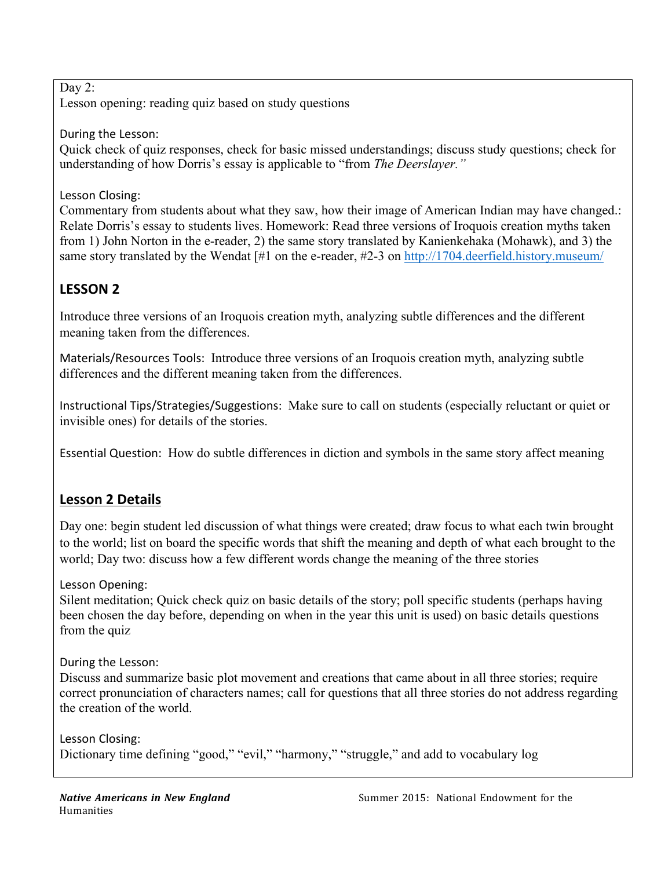Day 2:

Lesson opening: reading quiz based on study questions

#### During the Lesson:

Quick check of quiz responses, check for basic missed understandings; discuss study questions; check for understanding of how Dorris's essay is applicable to "from *The Deerslayer."*

#### Lesson Closing:

Commentary from students about what they saw, how their image of American Indian may have changed.: Relate Dorris's essay to students lives. Homework: Read three versions of Iroquois creation myths taken from 1) John Norton in the e-reader, 2) the same story translated by Kanienkehaka (Mohawk), and 3) the same story translated by the Wendat [#1 on the e-reader, #2-3 on http://1704.deerfield.history.museum/

## **LESSON'2'**

Introduce three versions of an Iroquois creation myth, analyzing subtle differences and the different meaning taken from the differences.

Materials/Resources Tools: Introduce three versions of an Iroquois creation myth, analyzing subtle differences and the different meaning taken from the differences.

Instructional Tips/Strategies/Suggestions: Make sure to call on students (especially reluctant or quiet or invisible ones) for details of the stories.

Essential Question: How do subtle differences in diction and symbols in the same story affect meaning

## **Lesson 2 Details**

Day one: begin student led discussion of what things were created; draw focus to what each twin brought to the world; list on board the specific words that shift the meaning and depth of what each brought to the world; Day two: discuss how a few different words change the meaning of the three stories

Lesson Opening:

Silent meditation; Quick check quiz on basic details of the story; poll specific students (perhaps having been chosen the day before, depending on when in the year this unit is used) on basic details questions from the quiz

During the Lesson:

Discuss and summarize basic plot movement and creations that came about in all three stories; require correct pronunciation of characters names; call for questions that all three stories do not address regarding the creation of the world.

Lesson Closing: Dictionary time defining "good," "evil," "harmony," "struggle," and add to vocabulary log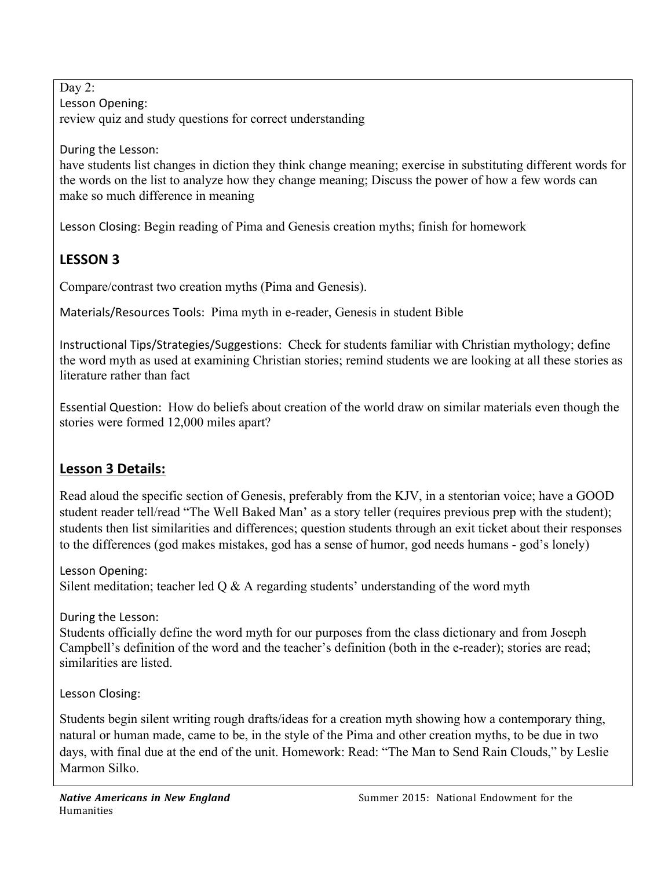Day 2: Lesson Opening: review quiz and study questions for correct understanding

During the Lesson:

have students list changes in diction they think change meaning; exercise in substituting different words for the words on the list to analyze how they change meaning; Discuss the power of how a few words can make so much difference in meaning

Lesson"Closing: Begin reading of Pima and Genesis creation myths; finish for homework

## **LESSON'3'**

Compare/contrast two creation myths (Pima and Genesis).

Materials/Resources Tools: Pima myth in e-reader, Genesis in student Bible

Instructional Tips/Strategies/Suggestions: Check for students familiar with Christian mythology; define the word myth as used at examining Christian stories; remind students we are looking at all these stories as literature rather than fact

Essential"Question:" How do beliefs about creation of the world draw on similar materials even though the stories were formed 12,000 miles apart?

## **Lesson 3 Details:**

Read aloud the specific section of Genesis, preferably from the KJV, in a stentorian voice; have a GOOD student reader tell/read "The Well Baked Man' as a story teller (requires previous prep with the student); students then list similarities and differences; question students through an exit ticket about their responses to the differences (god makes mistakes, god has a sense of humor, god needs humans - god's lonely)

Lesson Opening: Silent meditation; teacher led  $\overline{O} \& \overline{A}$  regarding students' understanding of the word myth

During the Lesson:

Students officially define the word myth for our purposes from the class dictionary and from Joseph Campbell's definition of the word and the teacher's definition (both in the e-reader); stories are read; similarities are listed.

Lesson Closing:

Students begin silent writing rough drafts/ideas for a creation myth showing how a contemporary thing, natural or human made, came to be, in the style of the Pima and other creation myths, to be due in two days, with final due at the end of the unit. Homework: Read: "The Man to Send Rain Clouds," by Leslie Marmon Silko.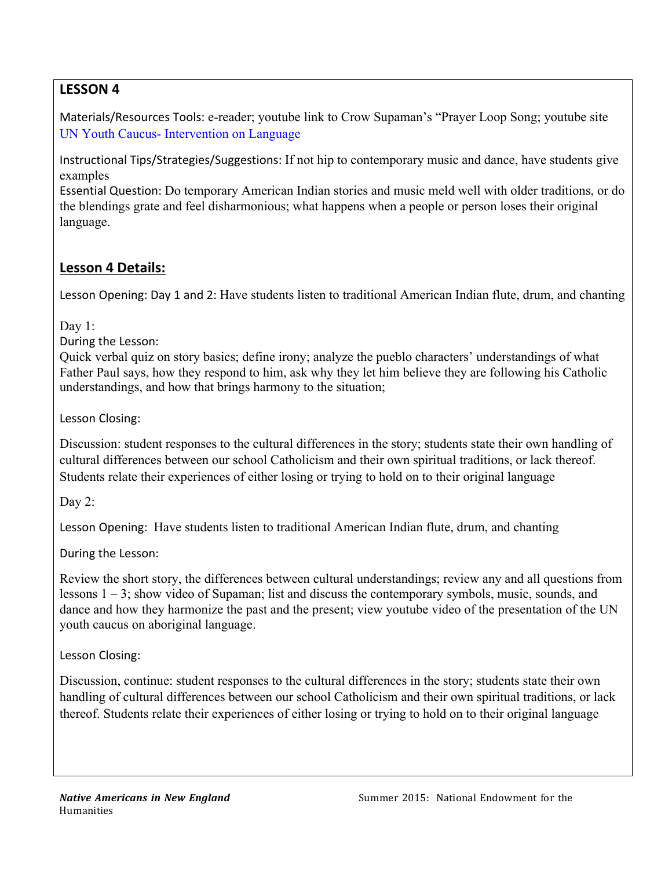## **LESSON'4'**

Materials/Resources Tools: e-reader; youtube link to Crow Supaman's "Prayer Loop Song; youtube site UN Youth Caucus- Intervention on Language

Instructional"Tips/Strategies/Suggestions: If not hip to contemporary music and dance, have students give examples

Essential Question: Do temporary American Indian stories and music meld well with older traditions, or do the blendings grate and feel disharmonious; what happens when a people or person loses their original language.

## **Lesson'4 Details:**

Lesson Opening: Day 1 and 2: Have students listen to traditional American Indian flute, drum, and chanting

Day 1:

During the Lesson:

Quick verbal quiz on story basics; define irony; analyze the pueblo characters' understandings of what Father Paul says, how they respond to him, ask why they let him believe they are following his Catholic understandings, and how that brings harmony to the situation;

Lesson Closing:

Discussion: student responses to the cultural differences in the story; students state their own handling of cultural differences between our school Catholicism and their own spiritual traditions, or lack thereof. Students relate their experiences of either losing or trying to hold on to their original language

Day 2:

Lesson Opening: Have students listen to traditional American Indian flute, drum, and chanting

During the Lesson:

Review the short story, the differences between cultural understandings; review any and all questions from lessons 1 – 3; show video of Supaman; list and discuss the contemporary symbols, music, sounds, and dance and how they harmonize the past and the present; view youtube video of the presentation of the UN youth caucus on aboriginal language.

Lesson Closing:

Discussion, continue: student responses to the cultural differences in the story; students state their own handling of cultural differences between our school Catholicism and their own spiritual traditions, or lack thereof. Students relate their experiences of either losing or trying to hold on to their original language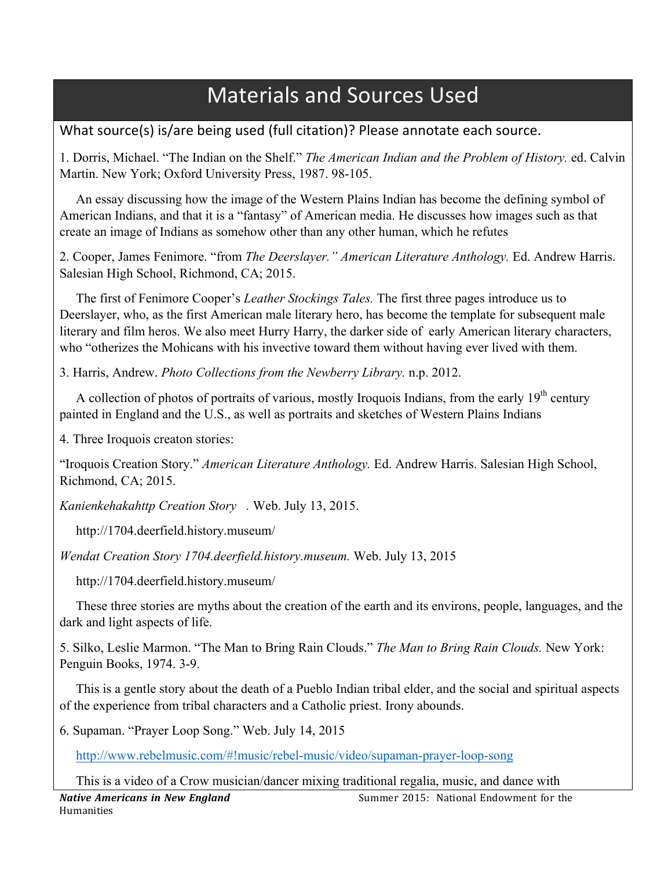# **Materials and Sources Used**

What source(s) is/are being used (full citation)? Please annotate each source.

1. Dorris, Michael. "The Indian on the Shelf." *The American Indian and the Problem of History.* ed. Calvin Martin. New York; Oxford University Press, 1987. 98-105.

 An essay discussing how the image of the Western Plains Indian has become the defining symbol of American Indians, and that it is a "fantasy" of American media. He discusses how images such as that create an image of Indians as somehow other than any other human, which he refutes

2. Cooper, James Fenimore. "from *The Deerslayer." American Literature Anthology.* Ed. Andrew Harris. Salesian High School, Richmond, CA; 2015.

 The first of Fenimore Cooper's *Leather Stockings Tales.* The first three pages introduce us to Deerslayer, who, as the first American male literary hero, has become the template for subsequent male literary and film heros. We also meet Hurry Harry, the darker side of early American literary characters, who "otherizes the Mohicans with his invective toward them without having ever lived with them.

3. Harris, Andrew. *Photo Collections from the Newberry Library.* n.p. 2012.

A collection of photos of portraits of various, mostly Iroquois Indians, from the early 19<sup>th</sup> century painted in England and the U.S., as well as portraits and sketches of Western Plains Indians

4. Three Iroquois creaton stories:

"Iroquois Creation Story." *American Literature Anthology.* Ed. Andrew Harris. Salesian High School, Richmond, CA; 2015.

*Kanienkehakahttp Creation Story .* Web. July 13, 2015.

http://1704.deerfield.history.museum/

*Wendat Creation Story 1704.deerfield.history.museum.* Web. July 13, 2015

http://1704.deerfield.history.museum/

 These three stories are myths about the creation of the earth and its environs, people, languages, and the dark and light aspects of life.

5. Silko, Leslie Marmon. "The Man to Bring Rain Clouds." *The Man to Bring Rain Clouds.* New York: Penguin Books, 1974. 3-9.

 This is a gentle story about the death of a Pueblo Indian tribal elder, and the social and spiritual aspects of the experience from tribal characters and a Catholic priest. Irony abounds.

6. Supaman. "Prayer Loop Song." Web. July 14, 2015

http://www.rebelmusic.com/#!music/rebel-music/video/supaman-prayer-loop-song

This is a video of a Crow musician/dancer mixing traditional regalia, music, and dance with